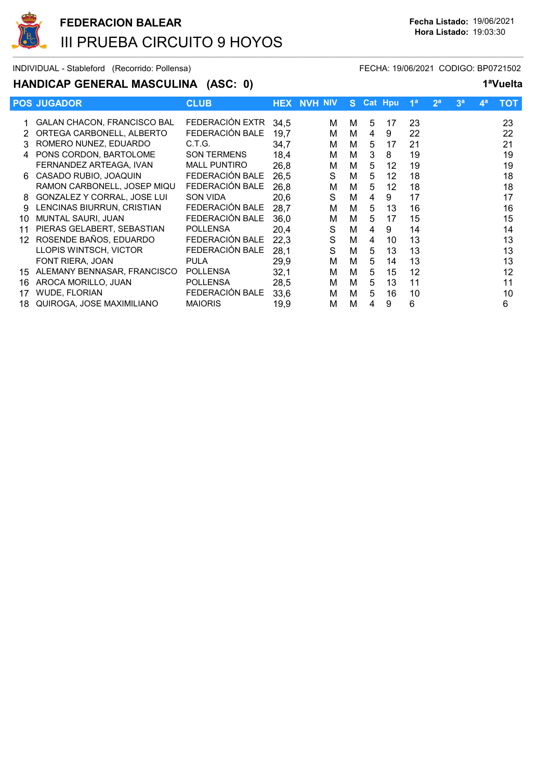

### HANDICAP GENERAL MASCULINA (ASC: 0) 1<sup>a</sup>Vuelta

|    | <b>POS JUGADOR</b>                 | <b>CLUB</b>         |      | <b>HEX NVH NIV</b> | S. |   | <b>Cat Hpu</b> | 1 <sup>a</sup> | 2 <sup>a</sup> | 3 <sup>a</sup> | 4 <sup>a</sup> | тот |
|----|------------------------------------|---------------------|------|--------------------|----|---|----------------|----------------|----------------|----------------|----------------|-----|
|    | <b>GALAN CHACON, FRANCISCO BAL</b> | FEDERACIÓN EXTR     | 34.5 | м                  | м  | 5 | 17             | 23             |                |                |                | 23  |
|    | ORTEGA CARBONELL, ALBERTO          | FEDERACIÓN BALE     | 19,7 | М                  | м  | 4 | 9              | 22             |                |                |                | 22  |
|    | ROMERO NUNEZ, EDUARDO              | C.T.G.              | 34,7 | м                  | м  | 5 | 17             | 21             |                |                |                | 21  |
|    | PONS CORDON, BARTOLOME             | <b>SON TERMENS</b>  | 18,4 | м                  | M  | 3 | 8              | 19             |                |                |                | 19  |
|    | FERNANDEZ ARTEAGA, IVAN            | <b>MALL PUNTIRO</b> | 26,8 | м                  | м  | 5 | 12             | 19             |                |                |                | 19  |
| 6  | CASADO RUBIO, JOAQUIN              | FEDERACIÓN BALE     | 26,5 | S                  | м  | 5 | 12             | 18             |                |                |                | 18  |
|    | RAMON CARBONELL, JOSEP MIQU        | FEDERACIÓN BALE     | 26,8 | M                  | м  | 5 | 12             | 18             |                |                |                | 18  |
| 8  | GONZALEZ Y CORRAL, JOSE LUI        | <b>SON VIDA</b>     | 20,6 | S                  | М  | 4 | 9              | 17             |                |                |                | 17  |
| 9  | LENCINAS BIURRUN, CRISTIAN         | FEDERACIÓN BALE     | 28,7 | M                  | м  | 5 | 13             | 16             |                |                |                | 16  |
| 10 | MUNTAL SAURI, JUAN                 | FEDERACIÓN BALE     | 36,0 | Μ                  | м  | 5 | 17             | 15             |                |                |                | 15  |
| 11 | PIERAS GELABERT, SEBASTIAN         | <b>POLLENSA</b>     | 20,4 | S                  | M  | 4 | 9              | 14             |                |                |                | 14  |
| 12 | ROSENDE BAÑOS, EDUARDO             | FEDERACIÓN BALE     | 22,3 | S                  | м  | 4 | 10             | 13             |                |                |                | 13  |
|    | LLOPIS WINTSCH, VICTOR             | FEDERACIÓN BALE     | 28,1 | S                  | м  | 5 | 13             | 13             |                |                |                | 13  |
|    | FONT RIERA, JOAN                   | <b>PULA</b>         | 29,9 | М                  | м  | 5 | 14             | 13             |                |                |                | 13  |
| 15 | ALEMANY BENNASAR, FRANCISCO        | <b>POLLENSA</b>     | 32,1 | Μ                  | м  | 5 | 15             | 12             |                |                |                | 12  |
| 16 | AROCA MORILLO, JUAN                | <b>POLLENSA</b>     | 28,5 | м                  | м  | 5 | 13             | 11             |                |                |                | 11  |
| 17 | <b>WUDE, FLORIAN</b>               | FEDERACIÓN BALE     | 33,6 | М                  | М  | 5 | 16             | 10             |                |                |                | 10  |
| 18 | QUIROGA, JOSE MAXIMILIANO          | <b>MAIORIS</b>      | 19,9 | М                  | м  | 4 | 9              | 6              |                |                |                | 6   |
|    |                                    |                     |      |                    |    |   |                |                |                |                |                |     |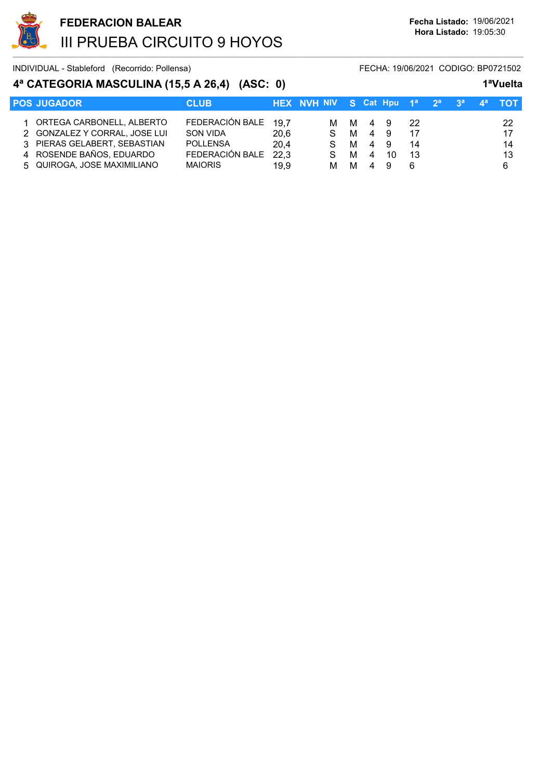

# 4ª CATEGORIA MASCULINA (15,5 A 26,4) (ASC: 0) 1<sup>a</sup>Vuelta

| <b>POS JUGADOR</b>            | <b>CLUB</b>     |      | HEX NVH NIV S Cat Hpu 1 <sup>a</sup> 2 <sup>a</sup> 3 <sup>a</sup> 4 <sup>a</sup> |   |    |     |     |  | $-{\sf TOT}$ . |
|-------------------------------|-----------------|------|-----------------------------------------------------------------------------------|---|----|-----|-----|--|----------------|
| 1 ORTEGA CARBONELL, ALBERTO   | FEDERACIÓN BALE | 19.7 | M M                                                                               |   | 49 |     | -22 |  | 22             |
| 2 GONZALEZ Y CORRAL, JOSE LUI | SON VIDA        | 20.6 | S.                                                                                | M | 4  | - 9 |     |  | 17             |
| 3 PIERAS GELABERT, SEBASTIAN  | <b>POLLENSA</b> | 20.4 | S.                                                                                | M | 4  | - 9 | 14  |  | 14             |
| 4 ROSENDE BAÑOS, EDUARDO      | FEDERACIÓN BALE | 22,3 | S.                                                                                | м | 4  | 10  | -13 |  | 13             |
| 5 QUIROGA, JOSE MAXIMILIANO   | <b>MAIORIS</b>  | 19.9 | м                                                                                 | м | 4  | Q   | 6   |  | 6              |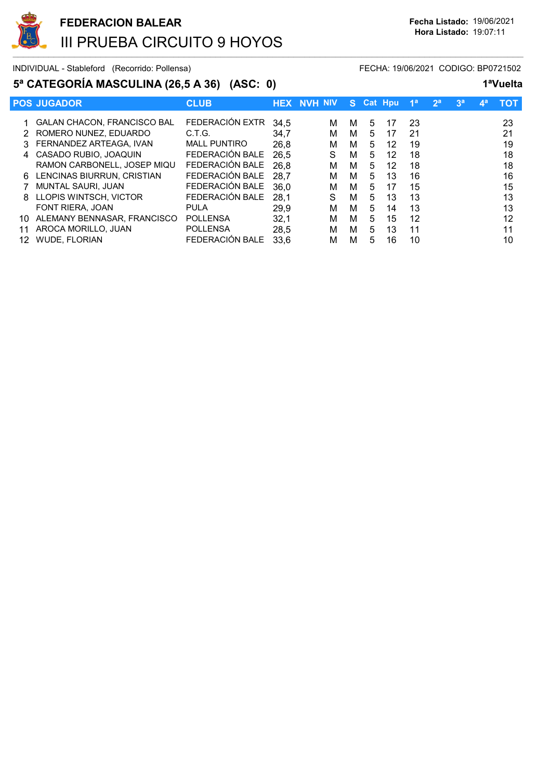

# 5ª CATEGORÍA MASCULINA (26,5 A 36) (ASC: 0) 1ªVuelta

| $\sigma$ orienting moduling (20,0 m 00) (400. 0) |                                    |                      |      |                    |   |    |           |                |                |                |                | .   |
|--------------------------------------------------|------------------------------------|----------------------|------|--------------------|---|----|-----------|----------------|----------------|----------------|----------------|-----|
|                                                  | <b>POS JUGADOR</b>                 | <b>CLUB</b>          |      | <b>HEX NVH NIV</b> |   |    | S Cat Hou | 1 <sup>a</sup> | 2 <sup>a</sup> | 3 <sup>a</sup> | 4 <sup>a</sup> | тот |
|                                                  | <b>GALAN CHACON, FRANCISCO BAL</b> | FEDERACIÓN EXTR 34,5 |      | м                  | м | 5  | 17        | 23             |                |                |                | 23  |
|                                                  | 2 ROMERO NUNEZ, EDUARDO            | C.T.G.               | 34.7 | м                  | м | 5. | 17        | 21             |                |                |                | 21  |
|                                                  | 3 FERNANDEZ ARTEAGA, IVAN          | <b>MALL PUNTIRO</b>  | 26.8 | М                  | м | 5. | 12        | 19             |                |                |                | 19  |
|                                                  | 4 CASADO RUBIO, JOAQUIN            | FEDERACIÓN BALE      | 26.5 | S                  | м | 5. | 12        | 18             |                |                |                | 18  |
|                                                  | RAMON CARBONELL, JOSEP MIQU        | FEDERACIÓN BALE      | 26.8 | м                  | М | 5. | 12        | 18             |                |                |                | 18  |
|                                                  | 6 LENCINAS BIURRUN, CRISTIAN       | FEDERACIÓN BALE      | 28.7 | м                  | м | 5  | 13        | 16             |                |                |                | 16  |
|                                                  | MUNTAL SAURI, JUAN                 | FEDERACIÓN BALE      | 36,0 | М                  | м | 5  | 17        | 15             |                |                |                | 15  |
|                                                  | 8 LLOPIS WINTSCH, VICTOR           | FEDERACIÓN BALE      | 28,1 | S                  | м | 5  | 13        | 13             |                |                |                | 13  |
|                                                  | FONT RIERA, JOAN                   | <b>PULA</b>          | 29.9 | м                  | м | 5  | 14        | 13             |                |                |                | 13  |
| 10                                               | ALEMANY BENNASAR, FRANCISCO        | <b>POLLENSA</b>      | 32,1 | м                  | м | 5  | 15        | 12             |                |                |                | 12  |
| 11                                               | AROCA MORILLO, JUAN                | <b>POLLENSA</b>      | 28,5 | м                  | м | 5  | 13        | 11             |                |                |                | 11  |
| 12                                               | <b>WUDE, FLORIAN</b>               | FEDERACIÓN BALE      | 33.6 | М                  | м | 5  | 16        | 10             |                |                |                | 10  |
|                                                  |                                    |                      |      |                    |   |    |           |                |                |                |                |     |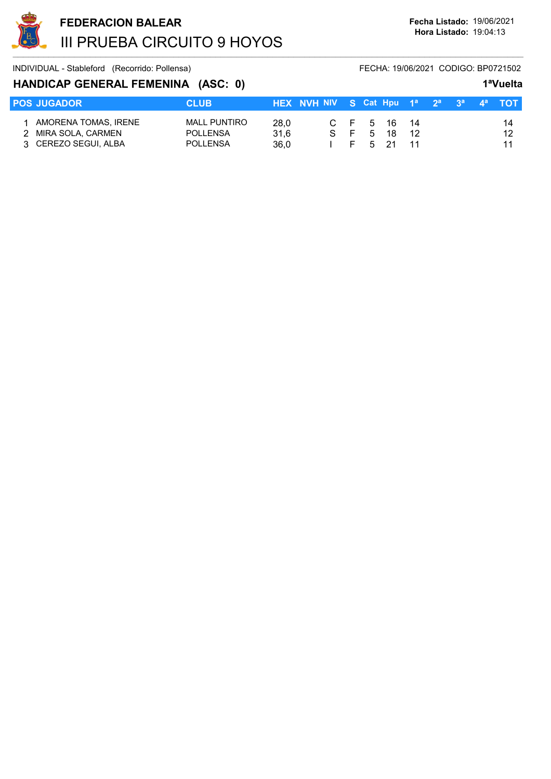

## HANDICAP GENERAL FEMENINA (ASC: 0) 1<sup>a</sup>Vuelta

|                                                                     |                                                           |                      |                                                                 |  |                                     |  |  | .              |
|---------------------------------------------------------------------|-----------------------------------------------------------|----------------------|-----------------------------------------------------------------|--|-------------------------------------|--|--|----------------|
| <b>POS JUGADOR</b>                                                  | <b>CLUB</b>                                               |                      | <b>HEX NVH NIV S Cat Hpu</b> $1^a$ $2^a$ $3^a$ $4^a$ <b>TOT</b> |  |                                     |  |  |                |
| AMORENA TOMAS, IRENE<br>2 MIRA SOLA, CARMEN<br>3 CEREZO SEGUI, ALBA | <b>MALL PUNTIRO</b><br><b>POLLENSA</b><br><b>POLLENSA</b> | 28.0<br>31.6<br>36.0 | SF 1                                                            |  | C F 5 16 14<br>5 18 12<br>F 5 21 11 |  |  | 14<br>12<br>11 |